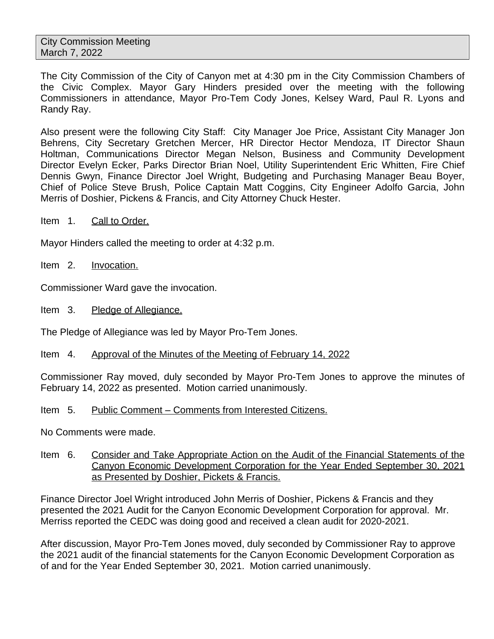The City Commission of the City of Canyon met at 4:30 pm in the City Commission Chambers of the Civic Complex. Mayor Gary Hinders presided over the meeting with the following Commissioners in attendance, Mayor Pro-Tem Cody Jones, Kelsey Ward, Paul R. Lyons and Randy Ray.

Also present were the following City Staff: City Manager Joe Price, Assistant City Manager Jon Behrens, City Secretary Gretchen Mercer, HR Director Hector Mendoza, IT Director Shaun Holtman, Communications Director Megan Nelson, Business and Community Development Director Evelyn Ecker, Parks Director Brian Noel, Utility Superintendent Eric Whitten, Fire Chief Dennis Gwyn, Finance Director Joel Wright, Budgeting and Purchasing Manager Beau Boyer, Chief of Police Steve Brush, Police Captain Matt Coggins, City Engineer Adolfo Garcia, John Merris of Doshier, Pickens & Francis, and City Attorney Chuck Hester.

Item 1. Call to Order.

Mayor Hinders called the meeting to order at 4:32 p.m.

Item 2. Invocation.

Commissioner Ward gave the invocation.

Item 3. Pledge of Allegiance.

The Pledge of Allegiance was led by Mayor Pro-Tem Jones.

# Item 4. Approval of the Minutes of the Meeting of February 14, 2022

Commissioner Ray moved, duly seconded by Mayor Pro-Tem Jones to approve the minutes of February 14, 2022 as presented. Motion carried unanimously.

## Item 5. Public Comment – Comments from Interested Citizens.

No Comments were made.

Item 6. Consider and Take Appropriate Action on the Audit of the Financial Statements of the Canyon Economic Development Corporation for the Year Ended September 30, 2021 as Presented by Doshier, Pickets & Francis.

Finance Director Joel Wright introduced John Merris of Doshier, Pickens & Francis and they presented the 2021 Audit for the Canyon Economic Development Corporation for approval. Mr. Merriss reported the CEDC was doing good and received a clean audit for 2020-2021.

After discussion, Mayor Pro-Tem Jones moved, duly seconded by Commissioner Ray to approve the 2021 audit of the financial statements for the Canyon Economic Development Corporation as of and for the Year Ended September 30, 2021. Motion carried unanimously.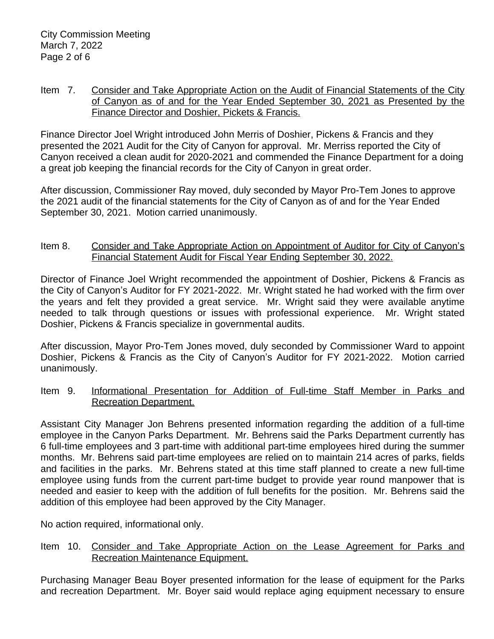Item 7. Consider and Take Appropriate Action on the Audit of Financial Statements of the City of Canyon as of and for the Year Ended September 30, 2021 as Presented by the Finance Director and Doshier, Pickets & Francis.

Finance Director Joel Wright introduced John Merris of Doshier, Pickens & Francis and they presented the 2021 Audit for the City of Canyon for approval. Mr. Merriss reported the City of Canyon received a clean audit for 2020-2021 and commended the Finance Department for a doing a great job keeping the financial records for the City of Canyon in great order.

After discussion, Commissioner Ray moved, duly seconded by Mayor Pro-Tem Jones to approve the 2021 audit of the financial statements for the City of Canyon as of and for the Year Ended September 30, 2021. Motion carried unanimously.

## Item 8. Consider and Take Appropriate Action on Appointment of Auditor for City of Canyon's Financial Statement Audit for Fiscal Year Ending September 30, 2022.

Director of Finance Joel Wright recommended the appointment of Doshier, Pickens & Francis as the City of Canyon's Auditor for FY 2021-2022. Mr. Wright stated he had worked with the firm over the years and felt they provided a great service. Mr. Wright said they were available anytime needed to talk through questions or issues with professional experience. Mr. Wright stated Doshier, Pickens & Francis specialize in governmental audits.

After discussion, Mayor Pro-Tem Jones moved, duly seconded by Commissioner Ward to appoint Doshier, Pickens & Francis as the City of Canyon's Auditor for FY 2021-2022. Motion carried unanimously.

Item 9. Informational Presentation for Addition of Full-time Staff Member in Parks and Recreation Department.

Assistant City Manager Jon Behrens presented information regarding the addition of a full-time employee in the Canyon Parks Department. Mr. Behrens said the Parks Department currently has 6 full-time employees and 3 part-time with additional part-time employees hired during the summer months. Mr. Behrens said part-time employees are relied on to maintain 214 acres of parks, fields and facilities in the parks. Mr. Behrens stated at this time staff planned to create a new full-time employee using funds from the current part-time budget to provide year round manpower that is needed and easier to keep with the addition of full benefits for the position. Mr. Behrens said the addition of this employee had been approved by the City Manager.

No action required, informational only.

Item 10. Consider and Take Appropriate Action on the Lease Agreement for Parks and Recreation Maintenance Equipment.

Purchasing Manager Beau Boyer presented information for the lease of equipment for the Parks and recreation Department. Mr. Boyer said would replace aging equipment necessary to ensure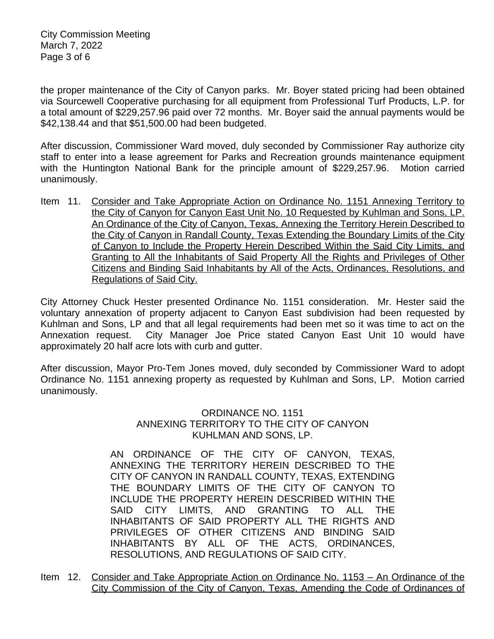the proper maintenance of the City of Canyon parks. Mr. Boyer stated pricing had been obtained via Sourcewell Cooperative purchasing for all equipment from Professional Turf Products, L.P. for a total amount of \$229,257.96 paid over 72 months. Mr. Boyer said the annual payments would be \$42,138.44 and that \$51,500.00 had been budgeted.

After discussion, Commissioner Ward moved, duly seconded by Commissioner Ray authorize city staff to enter into a lease agreement for Parks and Recreation grounds maintenance equipment with the Huntington National Bank for the principle amount of \$229,257.96. Motion carried unanimously.

Item 11. Consider and Take Appropriate Action on Ordinance No. 1151 Annexing Territory to the City of Canyon for Canyon East Unit No. 10 Requested by Kuhlman and Sons, LP. An Ordinance of the City of Canyon, Texas, Annexing the Territory Herein Described to the City of Canyon in Randall County, Texas Extending the Boundary Limits of the City of Canyon to Include the Property Herein Described Within the Said City Limits, and Granting to All the Inhabitants of Said Property All the Rights and Privileges of Other Citizens and Binding Said Inhabitants by All of the Acts, Ordinances, Resolutions, and Regulations of Said City.

City Attorney Chuck Hester presented Ordinance No. 1151 consideration. Mr. Hester said the voluntary annexation of property adjacent to Canyon East subdivision had been requested by Kuhlman and Sons, LP and that all legal requirements had been met so it was time to act on the Annexation request. City Manager Joe Price stated Canyon East Unit 10 would have approximately 20 half acre lots with curb and gutter.

After discussion, Mayor Pro-Tem Jones moved, duly seconded by Commissioner Ward to adopt Ordinance No. 1151 annexing property as requested by Kuhlman and Sons, LP. Motion carried unanimously.

> ORDINANCE NO. 1151 ANNEXING TERRITORY TO THE CITY OF CANYON KUHLMAN AND SONS, LP.

AN ORDINANCE OF THE CITY OF CANYON, TEXAS, ANNEXING THE TERRITORY HEREIN DESCRIBED TO THE CITY OF CANYON IN RANDALL COUNTY, TEXAS, EXTENDING THE BOUNDARY LIMITS OF THE CITY OF CANYON TO INCLUDE THE PROPERTY HEREIN DESCRIBED WITHIN THE SAID CITY LIMITS, AND GRANTING TO ALL THE INHABITANTS OF SAID PROPERTY ALL THE RIGHTS AND PRIVILEGES OF OTHER CITIZENS AND BINDING SAID INHABITANTS BY ALL OF THE ACTS, ORDINANCES, RESOLUTIONS, AND REGULATIONS OF SAID CITY.

Item 12. Consider and Take Appropriate Action on Ordinance No. 1153 – An Ordinance of the City Commission of the City of Canyon, Texas, Amending the Code of Ordinances of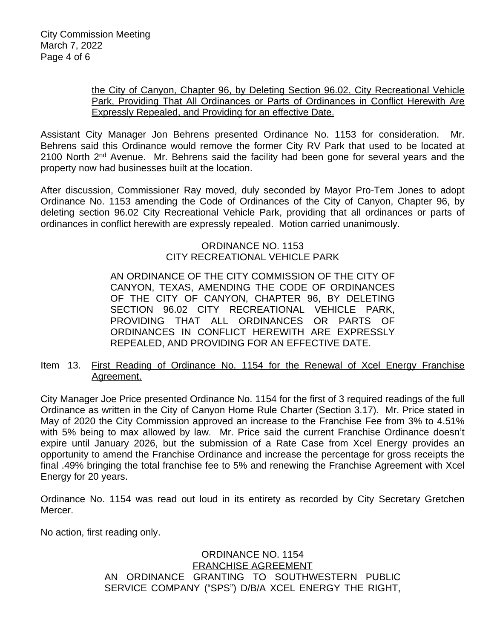#### the City of Canyon, Chapter 96, by Deleting Section 96.02, City Recreational Vehicle Park, Providing That All Ordinances or Parts of Ordinances in Conflict Herewith Are Expressly Repealed, and Providing for an effective Date.

Assistant City Manager Jon Behrens presented Ordinance No. 1153 for consideration. Mr. Behrens said this Ordinance would remove the former City RV Park that used to be located at 2100 North 2<sup>nd</sup> Avenue. Mr. Behrens said the facility had been gone for several years and the property now had businesses built at the location.

After discussion, Commissioner Ray moved, duly seconded by Mayor Pro-Tem Jones to adopt Ordinance No. 1153 amending the Code of Ordinances of the City of Canyon, Chapter 96, by deleting section 96.02 City Recreational Vehicle Park, providing that all ordinances or parts of ordinances in conflict herewith are expressly repealed. Motion carried unanimously.

# ORDINANCE NO. 1153 CITY RECREATIONAL VEHICLE PARK

AN ORDINANCE OF THE CITY COMMISSION OF THE CITY OF CANYON, TEXAS, AMENDING THE CODE OF ORDINANCES OF THE CITY OF CANYON, CHAPTER 96, BY DELETING SECTION 96.02 CITY RECREATIONAL VEHICLE PARK, PROVIDING THAT ALL ORDINANCES OR PARTS OF ORDINANCES IN CONFLICT HEREWITH ARE EXPRESSLY REPEALED, AND PROVIDING FOR AN EFFECTIVE DATE.

# Item 13. First Reading of Ordinance No. 1154 for the Renewal of Xcel Energy Franchise Agreement.

City Manager Joe Price presented Ordinance No. 1154 for the first of 3 required readings of the full Ordinance as written in the City of Canyon Home Rule Charter (Section 3.17). Mr. Price stated in May of 2020 the City Commission approved an increase to the Franchise Fee from 3% to 4.51% with 5% being to max allowed by law. Mr. Price said the current Franchise Ordinance doesn't expire until January 2026, but the submission of a Rate Case from Xcel Energy provides an opportunity to amend the Franchise Ordinance and increase the percentage for gross receipts the final .49% bringing the total franchise fee to 5% and renewing the Franchise Agreement with Xcel Energy for 20 years.

Ordinance No. 1154 was read out loud in its entirety as recorded by City Secretary Gretchen Mercer.

No action, first reading only.

# ORDINANCE NO. 1154 FRANCHISE AGREEMENT AN ORDINANCE GRANTING TO SOUTHWESTERN PUBLIC SERVICE COMPANY ("SPS") D/B/A XCEL ENERGY THE RIGHT,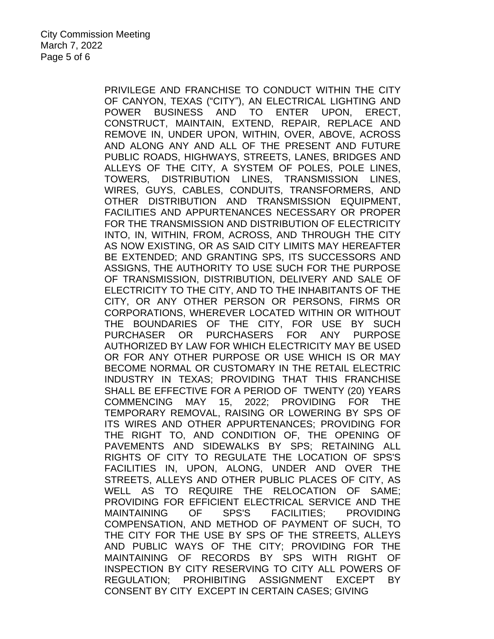PRIVILEGE AND FRANCHISE TO CONDUCT WITHIN THE CITY OF CANYON, TEXAS ("CITY"), AN ELECTRICAL LIGHTING AND POWER BUSINESS AND TO ENTER UPON, ERECT, CONSTRUCT, MAINTAIN, EXTEND, REPAIR, REPLACE AND REMOVE IN, UNDER UPON, WITHIN, OVER, ABOVE, ACROSS AND ALONG ANY AND ALL OF THE PRESENT AND FUTURE PUBLIC ROADS, HIGHWAYS, STREETS, LANES, BRIDGES AND ALLEYS OF THE CITY, A SYSTEM OF POLES, POLE LINES, TOWERS, DISTRIBUTION LINES, TRANSMISSION LINES, WIRES, GUYS, CABLES, CONDUITS, TRANSFORMERS, AND OTHER DISTRIBUTION AND TRANSMISSION EQUIPMENT, FACILITIES AND APPURTENANCES NECESSARY OR PROPER FOR THE TRANSMISSION AND DISTRIBUTION OF ELECTRICITY INTO, IN, WITHIN, FROM, ACROSS, AND THROUGH THE CITY AS NOW EXISTING, OR AS SAID CITY LIMITS MAY HEREAFTER BE EXTENDED; AND GRANTING SPS, ITS SUCCESSORS AND ASSIGNS, THE AUTHORITY TO USE SUCH FOR THE PURPOSE OF TRANSMISSION, DISTRIBUTION, DELIVERY AND SALE OF ELECTRICITY TO THE CITY, AND TO THE INHABITANTS OF THE CITY, OR ANY OTHER PERSON OR PERSONS, FIRMS OR CORPORATIONS, WHEREVER LOCATED WITHIN OR WITHOUT THE BOUNDARIES OF THE CITY, FOR USE BY SUCH PURCHASER OR PURCHASERS FOR ANY PURPOSE AUTHORIZED BY LAW FOR WHICH ELECTRICITY MAY BE USED OR FOR ANY OTHER PURPOSE OR USE WHICH IS OR MAY BECOME NORMAL OR CUSTOMARY IN THE RETAIL ELECTRIC INDUSTRY IN TEXAS; PROVIDING THAT THIS FRANCHISE SHALL BE EFFECTIVE FOR A PERIOD OF TWENTY (20) YEARS COMMENCING MAY 15, 2022; PROVIDING FOR THE TEMPORARY REMOVAL, RAISING OR LOWERING BY SPS OF ITS WIRES AND OTHER APPURTENANCES; PROVIDING FOR THE RIGHT TO, AND CONDITION OF, THE OPENING OF PAVEMENTS AND SIDEWALKS BY SPS; RETAINING ALL RIGHTS OF CITY TO REGULATE THE LOCATION OF SPS'S FACILITIES IN, UPON, ALONG, UNDER AND OVER THE STREETS, ALLEYS AND OTHER PUBLIC PLACES OF CITY, AS WELL AS TO REQUIRE THE RELOCATION OF SAME; PROVIDING FOR EFFICIENT ELECTRICAL SERVICE AND THE MAINTAINING OF SPS'S FACILITIES; PROVIDING COMPENSATION, AND METHOD OF PAYMENT OF SUCH, TO THE CITY FOR THE USE BY SPS OF THE STREETS, ALLEYS AND PUBLIC WAYS OF THE CITY; PROVIDING FOR THE MAINTAINING OF RECORDS BY SPS WITH RIGHT OF INSPECTION BY CITY RESERVING TO CITY ALL POWERS OF REGULATION; PROHIBITING ASSIGNMENT EXCEPT BY CONSENT BY CITY EXCEPT IN CERTAIN CASES; GIVING